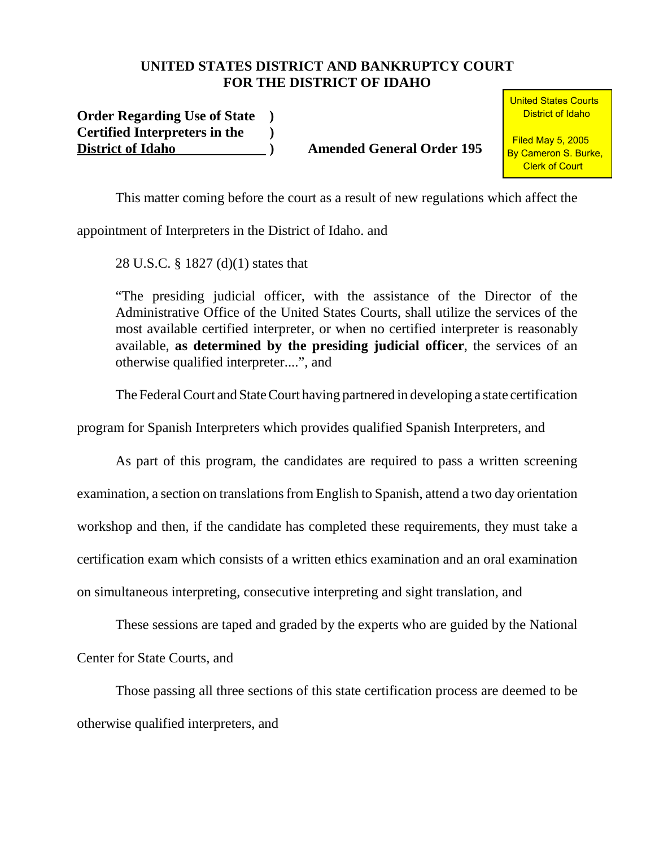## **UNITED STATES DISTRICT AND BANKRUPTCY COURT FOR THE DISTRICT OF IDAHO**

**Order Regarding Use of State ) Certified Interpreters in the ) District of Idaho ) Amended General Order 195**

**United States Courts** District of Idaho

 Filed May 5, 2005 By Cameron S. Burke, Clerk of Court

This matter coming before the court as a result of new regulations which affect the

appointment of Interpreters in the District of Idaho. and

28 U.S.C. § 1827 (d)(1) states that

"The presiding judicial officer, with the assistance of the Director of the Administrative Office of the United States Courts, shall utilize the services of the most available certified interpreter, or when no certified interpreter is reasonably available, **as determined by the presiding judicial officer**, the services of an otherwise qualified interpreter....", and

The Federal Court and State Court having partnered in developing a state certification

program for Spanish Interpreters which provides qualified Spanish Interpreters, and

As part of this program, the candidates are required to pass a written screening examination, a section on translations from English to Spanish, attend a two day orientation workshop and then, if the candidate has completed these requirements, they must take a certification exam which consists of a written ethics examination and an oral examination on simultaneous interpreting, consecutive interpreting and sight translation, and

These sessions are taped and graded by the experts who are guided by the National Center for State Courts, and

Those passing all three sections of this state certification process are deemed to be otherwise qualified interpreters, and